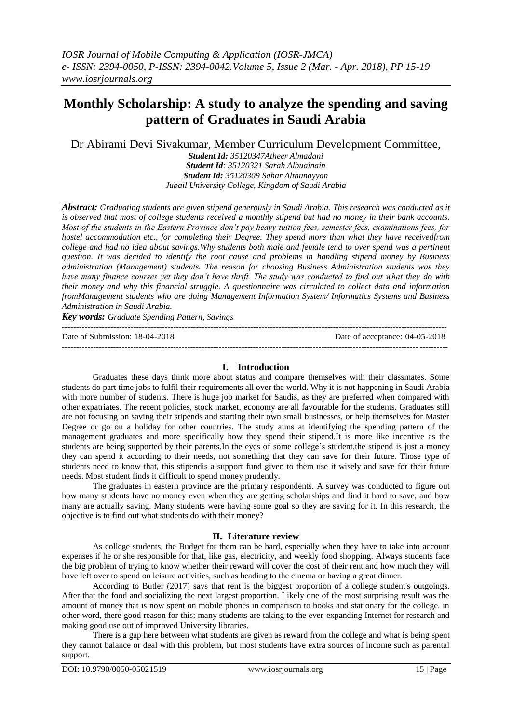# **Monthly Scholarship: A study to analyze the spending and saving pattern of Graduates in Saudi Arabia**

Dr Abirami Devi Sivakumar, Member Curriculum Development Committee,

*Student Id: 35120347Atheer Almadani Student Id: 35120321 Sarah Albuainain Student Id: 35120309 Sahar Althunayyan Jubail University College, Kingdom of Saudi Arabia*

*Abstract: Graduating students are given stipend generously in Saudi Arabia. This research was conducted as it is observed that most of college students received a monthly stipend but had no money in their bank accounts. Most of the students in the Eastern Province don't pay heavy tuition fees, semester fees, examinations fees, for hostel accommodation etc., for completing their Degree. They spend more than what they have receivedfrom college and had no idea about savings.Why students both male and female tend to over spend was a pertinent question. It was decided to identify the root cause and problems in handling stipend money by Business administration (Management) students. The reason for choosing Business Administration students was they have many finance courses yet they don't have thrift. The study was conducted to find out what they do with their money and why this financial struggle. A questionnaire was circulated to collect data and information fromManagement students who are doing Management Information System/ Informatics Systems and Business Administration in Saudi Arabia.*

*Key words: Graduate Spending Pattern, Savings*  ---------------------------------------------------------------------------------------------------------------------------------------

Date of Submission: 18-04-2018 Date of acceptance: 04-05-2018

**I. Introduction**

---------------------------------------------------------------------------------------------------------------------------------------

Graduates these days think more about status and compare themselves with their classmates. Some students do part time jobs to fulfil their requirements all over the world. Why it is not happening in Saudi Arabia with more number of students. There is huge job market for Saudis, as they are preferred when compared with other expatriates. The recent policies, stock market, economy are all favourable for the students. Graduates still are not focusing on saving their stipends and starting their own small businesses, or help themselves for Master Degree or go on a holiday for other countries. The study aims at identifying the spending pattern of the management graduates and more specifically how they spend their stipend.It is more like incentive as the students are being supported by their parents.In the eyes of some college's student,the stipend is just a money they can spend it according to their needs, not something that they can save for their future. Those type of students need to know that, this stipendis a support fund given to them use it wisely and save for their future needs. Most student finds it difficult to spend money prudently.

The graduates in eastern province are the primary respondents. A survey was conducted to figure out how many students have no money even when they are getting scholarships and find it hard to save, and how many are actually saving. Many students were having some goal so they are saving for it. In this research, the objective is to find out what students do with their money?

## **II. Literature review**

As college students, the Budget for them can be hard, especially when they have to take into account expenses if he or she responsible for that, like gas, electricity, and weekly food shopping. Always students face the big problem of trying to know whether their reward will cover the cost of their rent and how much they will have left over to spend on leisure activities, such as heading to the cinema or having a great dinner.

According to Butler (2017) says that rent is the biggest proportion of a college student's outgoings. After that the food and socializing the next largest proportion. Likely one of the most surprising result was the amount of money that is now spent on mobile phones in comparison to books and stationary for the college. in other word, there good reason for this; many students are taking to the ever-expanding Internet for research and making good use out of improved University libraries.

There is a gap here between what students are given as reward from the college and what is being spent they cannot balance or deal with this problem, but most students have extra sources of income such as parental support.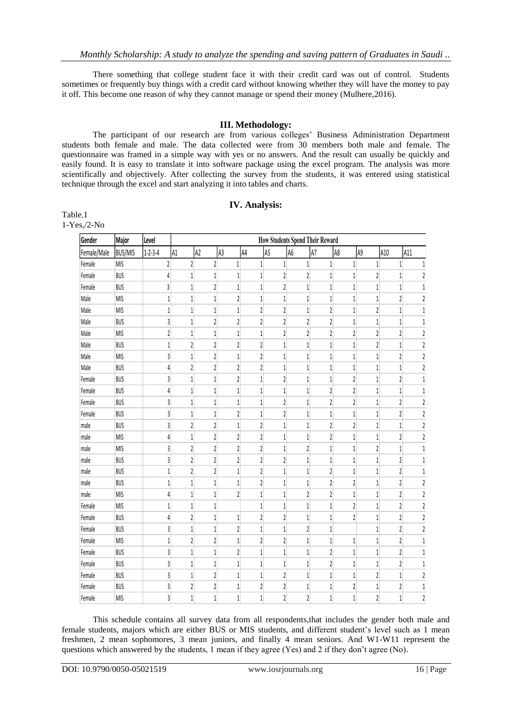There something that college student face it with their credit card was out of control. Students sometimes or frequently buy things with a credit card without knowing whether they will have the money to pay it off. This become one reason of why they cannot manage or spend their money (Mulhere,2016).

#### **III. Methodology:**

The participant of our research are from various colleges' Business Administration Department students both female and male. The data collected were from 30 members both male and female. The questionnaire was framed in a simple way with yes or no answers. And the result can usually be quickly and easily found. It is easy to translate it into software package using the excel program. The analysis was more scientifically and objectively. After collecting the survey from the students, it was entered using statistical technique through the excel and start analyzing it into tables and charts.

#### **IV. Analysis:**

Table.1 1-Yes,/2-No

| Gender      | Major          | Level                   | <b>How Students Spend Their Reward</b> |                         |                         |                         |                         |                         |                         |                         |                         |                         |                |
|-------------|----------------|-------------------------|----------------------------------------|-------------------------|-------------------------|-------------------------|-------------------------|-------------------------|-------------------------|-------------------------|-------------------------|-------------------------|----------------|
| Female/Male | <b>BUS/MIS</b> | $1 - 2 - 3 - 4$         | A1                                     | A2                      | A <sub>3</sub>          | A4                      | A <sub>5</sub>          | A <sub>6</sub>          | A7                      | A8                      | A9                      | A10                     | A11            |
| Female      | <b>MIS</b>     | $\sqrt{2}$              | $\overline{2}$                         | $\overline{2}$          | $\mathbf{1}$            | $\mathbf{1}$            | $\mathbf{1}$            | $\,1\,$                 | $\mathbf{1}$            | $\mathbf{1}$            | $\mathbf{1}$            | $\mathbf{1}$            | $\mathbf{1}$   |
| Female      | <b>BUS</b>     | 4                       | $\mathbf{1}$                           | $\mathbf{1}$            | 1                       | $\mathbf 1$             | $\overline{2}$          | $\overline{c}$          | 1                       | $\mathbf{1}$            | 2                       | 1                       | 2              |
| Female      | <b>BUS</b>     | 3                       | $\mathbf{1}$                           | $\overline{2}$          | 1                       | $\mathbf{1}$            | $\sqrt{2}$              | $1\,$                   | $\mathbf{1}$            | 1                       | $\mathbf{1}$            | 1                       | 1              |
| Male        | <b>MIS</b>     | $\mathbf{1}$            | $\mathbf{1}$                           | $\mathbf{1}$            | $\overline{\mathbf{c}}$ | $\mathbf{1}$            | $1\,$                   | $\mathbf{1}$            | $\mathbf{1}$            | 1                       | 1                       | $\overline{c}$          | 2              |
| Male        | <b>MIS</b>     | $\,1$                   | $\,1\,$                                | $1\,$                   | 1                       | $\overline{\mathbf{c}}$ | $\overline{\mathbf{c}}$ | $\mathbf{1}$            | $\overline{\mathbf{c}}$ | 1                       | $\overline{\mathbf{c}}$ | 1                       | 1              |
| Male        | <b>BUS</b>     | 3                       | $\,1\,$                                | $\sqrt{2}$              | 2                       | $\overline{\mathbf{c}}$ | $\overline{\mathbf{c}}$ | $\overline{\mathbf{c}}$ | $\overline{\mathbf{c}}$ | 1                       | 1                       | 1                       | $1\,$          |
| Male        | <b>MIS</b>     | $\overline{\mathbf{c}}$ | $\mathbf{1}$                           | $1\,$                   | $1\,$                   | $\,1\,$                 | $\overline{\mathbf{c}}$ | $\overline{\mathbf{c}}$ | $\overline{\mathbf{c}}$ | $\overline{\mathbf{c}}$ | $\overline{\mathbf{c}}$ | $\overline{\mathbf{c}}$ | $\overline{2}$ |
| Male        | <b>BUS</b>     | $\mathbf{1}$            | $\overline{2}$                         | $\overline{\mathbf{c}}$ | $\overline{\mathbf{c}}$ | $\overline{2}$          | $\,1\,$                 | $\mathbf 1$             | $1\,$                   | $\,1$                   | $\overline{\mathbf{c}}$ | 1                       | $\overline{2}$ |
| Male        | <b>MIS</b>     | 3                       | $\,1\,$                                | $\sqrt{2}$              | $1\,$                   | $\overline{\mathbf{c}}$ | $\,1\,$                 | $\,1\,$                 | 1                       | 1                       | $\,1$                   | 2                       | 2              |
| Male        | <b>BUS</b>     | 4                       | $\overline{2}$                         | $\sqrt{2}$              | $\overline{\mathbf{c}}$ | $\overline{2}$          | $\,1\,$                 | $\mathbf{1}$            | $\,1\,$                 | 1                       | $\mathbf{1}$            | 1                       | 2              |
| Female      | <b>BUS</b>     | 3                       | $\mathbf{1}$                           | $\mathbf{1}$            | $\overline{c}$          | $\mathbf{1}$            | $\overline{\mathbf{c}}$ | $\mathbf{1}$            | $\mathbf{1}$            | $\overline{2}$          | $\mathbf{1}$            | $\overline{c}$          | $1\,$          |
| Female      | <b>BUS</b>     | 4                       | $\mathbf{1}$                           | $\,1\,$                 | 1                       | $\mathbf{1}$            | $\mathbf{1}$            | $\overline{1}$          | $\overline{\mathbf{c}}$ | $\overline{\mathbf{c}}$ | 1                       | 1                       | 1              |
| Female      | <b>BUS</b>     | 3                       | $1\,$                                  | $\mathbf{1}$            | 1                       | $\mathbf{1}$            | $\overline{\mathbf{c}}$ | $1\,$                   | $\sqrt{2}$              | 2                       | 1                       | 2                       | 2              |
| Female      | <b>BUS</b>     | 3                       | 1                                      | 1                       | 2                       | $\mathbf{1}$            | $\sqrt{2}$              | $\mathbf{1}$            | 1                       | 1                       | $\mathbf 1$             | $\overline{\mathbf{c}}$ | $\sqrt{2}$     |
| male        | <b>BUS</b>     | 3                       | $\overline{2}$                         | $\sqrt{2}$              | $\mathbf 1$             | $\overline{\mathbf{c}}$ | $1\,$                   | $\,1\,$                 | $\sqrt{2}$              | 2                       | $\mathbf{1}$            | 1                       | 2              |
| male        | <b>MIS</b>     | 4                       | $\mathbf{1}$                           | $\overline{c}$          | 2                       | $\overline{c}$          | $\mathbf{1}$            | $\mathbf{1}$            | $\overline{\mathbf{c}}$ | 1                       | 1                       | 2                       | 2              |
| male        | <b>MIS</b>     | 3                       | $\overline{2}$                         | $\sqrt{2}$              | $\overline{\mathbf{c}}$ | $\overline{\mathbf{c}}$ | $\mathbf{1}$            | $\overline{2}$          | $\mathbf{1}$            | $\mathbf{1}$            | $\overline{c}$          | 1                       | 1              |
| male        | <b>BUS</b>     | 3                       | $\overline{2}$                         | $\overline{c}$          | $\overline{c}$          | $\overline{2}$          | $\overline{c}$          | $\mathbf{1}$            | $\mathbf{1}$            | 1                       | $\mathbf{1}$            | $\overline{\mathbf{c}}$ | $\mathbf{1}$   |
| male        | <b>BUS</b>     | $\mathbf{1}$            | $\overline{2}$                         | $\overline{2}$          | 1                       | $\overline{2}$          | $\mathbf{1}$            | $\mathbf{1}$            | $\overline{2}$          | 1                       | 1                       | $\overline{c}$          | 1              |
| male        | <b>BUS</b>     | 1                       | $\mathbf{1}$                           | $\mathbf{1}$            | $\mathbf{1}$            | $\sqrt{2}$              | $\mathbf{1}$            | $\mathbf{1}$            | $\overline{c}$          | $\overline{\mathbf{c}}$ | 1                       | $\overline{\mathbf{c}}$ | $\overline{2}$ |
| male        | <b>MIS</b>     | 4                       | $\mathbf{1}$                           | $\mathbf{1}$            | $\overline{c}$          | $\mathbf{1}$            | $\mathbf{1}$            | $\overline{2}$          | $\overline{c}$          | 1                       | 1                       | $\overline{c}$          | $\mathfrak z$  |
| Female      | <b>MIS</b>     | $\,1$                   | $\,1\,$                                | $1\,$                   |                         | $1\,$                   | $\,1\,$                 | $\mathbf 1$             | $\mathbf{1}$            | $\overline{\mathbf{c}}$ | $\mathbf{1}$            | $\overline{\mathbf{c}}$ | $\mathfrak z$  |
| Female      | <b>BUS</b>     | 4                       | $\overline{2}$                         | $\mathbf{1}$            | 1                       | $\overline{c}$          | $\overline{\mathbf{c}}$ | $\mathbf{1}$            | 1                       | $\overline{\mathbf{c}}$ | 1                       | $\overline{\mathbf{c}}$ | 2              |
| Female      | <b>BUS</b>     | $\overline{3}$          | $\,1\,$                                | $\mathbf{1}$            | 2                       | $\mathbf{1}$            | $\mathbf{1}$            | $\overline{\mathbf{c}}$ | 1                       |                         | $\mathbf{1}$            | $\overline{c}$          | $\overline{2}$ |
| Female      | <b>MIS</b>     | $\mathbf{1}$            | $\overline{2}$                         | $\overline{2}$          | 1                       | $\overline{2}$          | $\overline{\mathbf{c}}$ | $\,1\,$                 | $\mathbf{1}$            | 1                       | $\mathbf{1}$            | $\sqrt{2}$              | 1              |
| Female      | <b>BUS</b>     | 3                       | $\mathbf{1}$                           | $1\,$                   | 2                       | $\,1\,$                 | $1\,$                   | $\,1\,$                 | 2                       | $1\,$                   | 1                       | 2                       | 1              |
| Female      | <b>BUS</b>     | 3                       | $\,1\,$                                | $\mathbf{1}$            | $\mathbf 1$             | $1\,$                   | $\mathbf{1}$            | $\,1\,$                 | $\sqrt{2}$              | 1                       | $\mathbf{1}$            | 2                       | $1\,$          |
| Female      | <b>BUS</b>     | 3                       | $\mathbf{1}$                           | $\sqrt{2}$              | $\mathbf{1}$            | $\mathbf{1}$            | $\overline{\mathbf{c}}$ | $\mathbf{1}$            | $\mathbf{1}$            | 1                       | $\overline{\mathbf{c}}$ | 1                       | $\sqrt{2}$     |
| Female      | <b>BUS</b>     | 3                       | $\overline{2}$                         | $\overline{\mathbf{c}}$ | $\mathbf{1}$            | $\overline{\mathbf{c}}$ | $\overline{\mathbf{c}}$ | $\mathbf 1$             | $\mathbf{1}$            | $\overline{\mathbf{c}}$ | $\mathbf 1$             | $\overline{2}$          | $1\,$          |
| Female      | <b>MIS</b>     | 3                       | $\,1\,$                                | $\mathbf{1}$            | $\mathbf{1}$            | $1\,$                   | $\overline{\mathbf{c}}$ | $\overline{2}$          | $\mathbf{1}$            | $\mathbf{1}$            | $\overline{2}$          | 1                       | $\sqrt{2}$     |

This schedule contains all survey data from all respondents,that includes the gender both male and female students, majors which are either BUS or MIS students, and different student's level such as 1 mean freshmen, 2 mean sophomores, 3 mean juniors, and finally 4 mean seniors. And W1-W11 represent the questions which answered by the students, 1 mean if they agree (Yes) and 2 if they don't agree (No).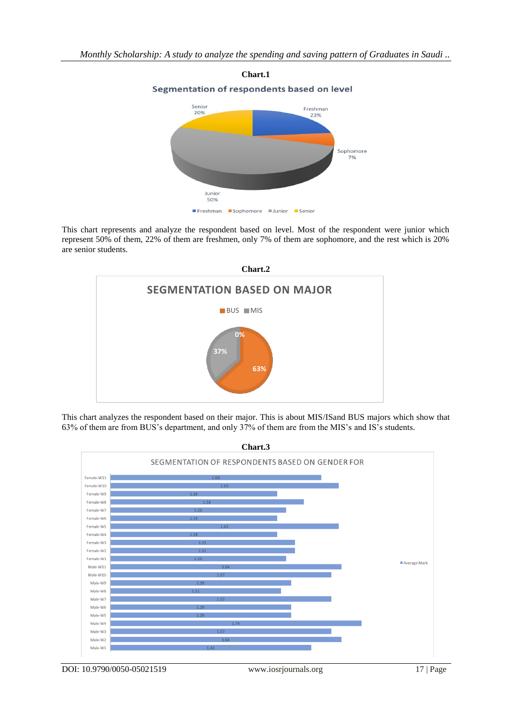

This chart represents and analyze the respondent based on level. Most of the respondent were junior which represent 50% of them, 22% of them are freshmen, only 7% of them are sophomore, and the rest which is 20% are senior students.



This chart analyzes the respondent based on their major. This is about MIS/ISand BUS majors which show that 63% of them are from BUS's department, and only 37% of them are from the MIS's and IS's students.

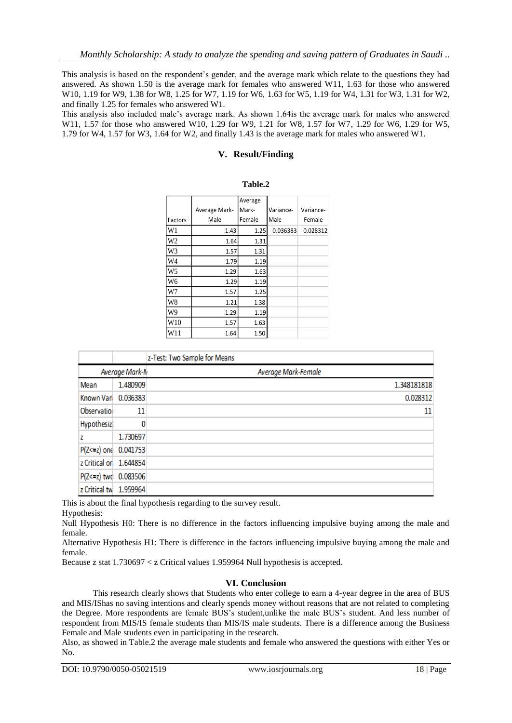This analysis is based on the respondent's gender, and the average mark which relate to the questions they had answered. As shown 1.50 is the average mark for females who answered W11, 1.63 for those who answered W10, 1.19 for W9, 1.38 for W8, 1.25 for W7, 1.19 for W6, 1.63 for W5, 1.19 for W4, 1.31 for W3, 1.31 for W2, and finally 1.25 for females who answered W1.

This analysis also included male's average mark. As shown 1.64is the average mark for males who answered W11, 1.57 for those who answered W10, 1.29 for W9, 1.21 for W8, 1.57 for W7, 1.29 for W6, 1.29 for W5, 1.79 for W4, 1.57 for W3, 1.64 for W2, and finally 1.43 is the average mark for males who answered W1.

## **V. Result/Finding**

|                 |               | Average |           |           |
|-----------------|---------------|---------|-----------|-----------|
|                 | Average Mark- | Mark-   | Variance- | Variance- |
| Factors         | Male          | Female  | Male      | Female    |
| W1              | 1.43          | 1.25    | 0.036383  | 0.028312  |
| W <sub>2</sub>  | 1.64          | 1.31    |           |           |
| W3              | 1.57          | 1.31    |           |           |
| W <sub>4</sub>  | 1.79          | 1.19    |           |           |
| W <sub>5</sub>  | 1.29          | 1.63    |           |           |
| W6              | 1.29          | 1.19    |           |           |
| W7              | 1.57          | 1.25    |           |           |
| W8              | 1.21          | 1.38    |           |           |
| W9              | 1.29          | 1.19    |           |           |
| W <sub>10</sub> | 1.57          | 1.63    |           |           |
| W11             | 1.64          | 1.50    |           |           |

| Table.2 |
|---------|
|---------|

|                        | z-Test: Two Sample for Means |                     |
|------------------------|------------------------------|---------------------|
|                        | Average Mark-N               | Average Mark-Female |
| Mean                   | 1.480909                     | 1.348181818         |
| Known Vari 0.036383    |                              | 0.028312            |
| Observation            | 11                           | 11                  |
| <b>Hypothesize</b>     |                              |                     |
| z                      | 1.730697                     |                     |
| P(Z<=z) one 0.041753   |                              |                     |
| z Critical on 1.644854 |                              |                     |
| P(Z<=z) two 0.083506   |                              |                     |
| z Critical tw 1.959964 |                              |                     |

This is about the final hypothesis regarding to the survey result.

Hypothesis:

Null Hypothesis H0: There is no difference in the factors influencing impulsive buying among the male and female.

Alternative Hypothesis H1: There is difference in the factors influencing impulsive buying among the male and female.

Because z stat 1.730697 < z Critical values 1.959964 Null hypothesis is accepted.

## **VI. Conclusion**

This research clearly shows that Students who enter college to earn a 4-year degree in the area of BUS and MIS/IShas no saving intentions and clearly spends money without reasons that are not related to completing the Degree. More respondents are female BUS's student,unlike the male BUS's student. And less number of respondent from MIS/IS female students than MIS/IS male students. There is a difference among the Business Female and Male students even in participating in the research.

Also, as showed in Table.2 the average male students and female who answered the questions with either Yes or No.